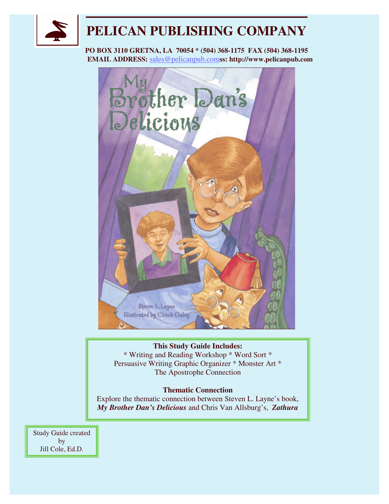

# **PELICAN PUBLISHING COMPANY**

**PO BOX 3110 GRETNA, LA 70054 \* (504) 368-1175 FAX (504) 368-1195 EMAIL ADDRESS:** sales@pelicanpub.com**ss: http://www.pelicanpub.com**



#### **This Study Guide Includes:**

\* Writing and Reading Workshop \* Word Sort \* Persuasive Writing Graphic Organizer \* Monster Art \* The Apostrophe Connection

#### **Thematic Connection**

Explore the thematic connection between Steven L. Layne's book, *My Brother Dan's Delicious* and Chris Van Allsburg's, *Zathura*

Study Guide created by Jill Cole, Ed.D.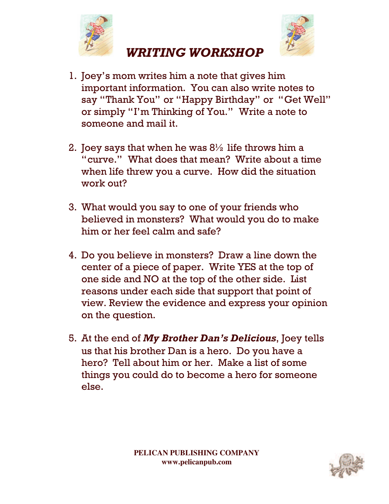



- 1. Joey's mom writes him a note that gives him important information. You can also write notes to say "Thank You" or "Happy Birthday" or "Get Well" or simply "I'm Thinking of You." Write a note to someone and mail it.
- 2. Joey says that when he was  $8\frac{1}{2}$  life throws him a "curve." What does that mean? Write about a time when life threw you a curve. How did the situation work out?
- 3. What would you say to one of your friends who believed in monsters? What would you do to make him or her feel calm and safe?
- 4. Do you believe in monsters? Draw a line down the center of a piece of paper. Write YES at the top of one side and NO at the top of the other side. List reasons under each side that support that point of view. Review the evidence and express your opinion on the question.
- 5. At the end of My Brother Dan's Delicious, Joey tells us that his brother Dan is a hero. Do you have a hero? Tell about him or her. Make a list of some things you could do to become a hero for someone else.

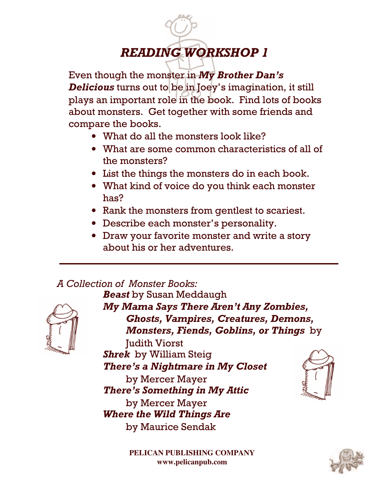# **READING WORKSHOP 1**

Even though the monster in My Brother Dan's **Delicious** turns out to be in Joey's imagination, it still plays an important role in the book. Find lots of books about monsters. Get together with some friends and compare the books.

- What do all the monsters look like?
- What are some common characteristics of all of the monsters?
- List the things the monsters do in each book.
- What kind of voice do you think each monster  $has?$
- Rank the monsters from gentlest to scariest.
- Describe each monster's personality.
- Draw your favorite monster and write a story about his or her adventures.

#### A Collection of Monster Books: **Beast** by Susan Meddaugh



My Mama Says There Aren't Any Zombies, **Ghosts, Vampires, Creatures, Demons,** Monsters, Fiends, Goblins, or Things by **Iudith Viorst Shrek** by William Steig There's a Nightmare in My Closet by Mercer Mayer There's Something in My Attic by Mercer Mayer **Where the Wild Things Are** by Maurice Sendak

PELICAN PUBLISHING COMPANY www.pelicanpub.com

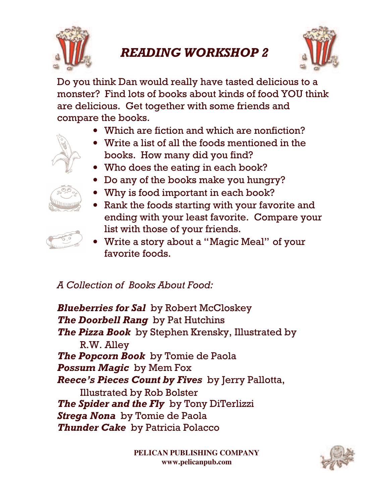

# **READING WORKSHOP 2**



Do you think Dan would really have tasted delicious to a monster? Find lots of books about kinds of food YOU think are delicious. Get together with some friends and compare the books.

- Which are fiction and which are nonfiction?
- Write a list of all the foods mentioned in the books. How many did you find?
- Who does the eating in each book?
- Do any of the books make you hungry?
- 
- Why is food important in each book?
- Rank the foods starting with your favorite and ending with your least favorite. Compare your list with those of your friends.



• Write a story about a "Magic Meal" of your favorite foods

A Collection of Books About Food:

**Blueberries for Sal** by Robert McCloskey The Doorbell Rang by Pat Hutchins The Pizza Book by Stephen Krensky, Illustrated by R.W. Alley The Popcorn Book by Tomie de Paola **Possum Magic** by Mem Fox **Reece's Pieces Count by Fives** by Jerry Pallotta, **Illustrated by Rob Bolster** The Spider and the Fly by Tony DiTerlizzi Strega Nona by Tomie de Paola **Thunder Cake** by Patricia Polacco

> PELICAN PUBLISHING COMPANY www.pelicanpub.com

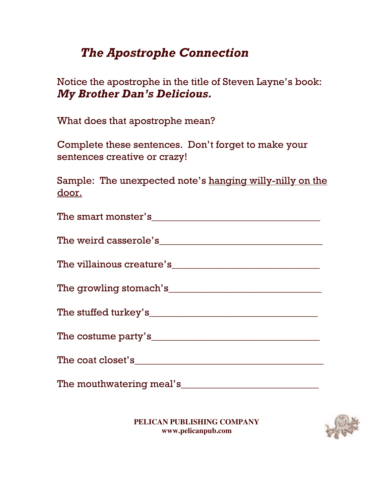# **The Apostrophe Connection**

Notice the apostrophe in the title of Steven Layne's book: **My Brother Dan's Delicious.** 

What does that apostrophe mean?

Complete these sentences. Don't forget to make your sentences creative or crazy!

Sample: The unexpected note's hanging willy-nilly on the <u>door.</u>

| The mouthwatering meal's |
|--------------------------|

PELICAN PUBLISHING COMPANY www.pelicanpub.com

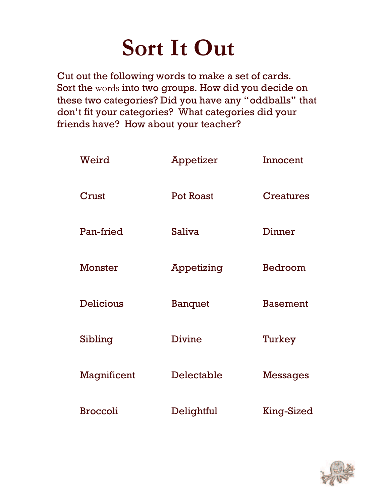# Sort It Out

Cut out the following words to make a set of cards. Sort the words into two groups. How did you decide on these two categories? Did you have any "oddballs" that don't fit your categories? What categories did your friends have? How about your teacher?

| Weird            | Appetizer        | Innocent          |
|------------------|------------------|-------------------|
| Crust            | <b>Pot Roast</b> | <b>Creatures</b>  |
| Pan-fried        | <b>Saliva</b>    | Dinner            |
| Monster          | Appetizing       | Bedroom           |
| <b>Delicious</b> | <b>Banquet</b>   | <b>Basement</b>   |
| Sibling          | Divine           | Turkey            |
| Magnificent      | Delectable       | <b>Messages</b>   |
| <b>Broccoli</b>  | Delightful       | <b>King-Sized</b> |

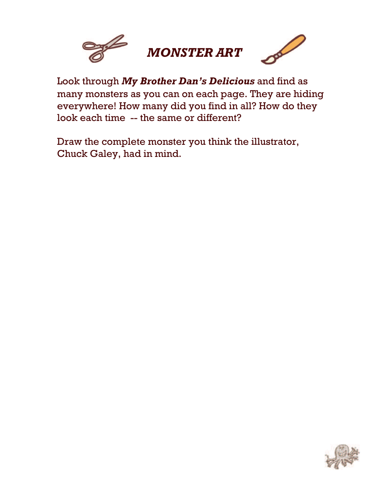

Look through My Brother Dan's Delicious and find as many monsters as you can on each page. They are hiding everywhere! How many did you find in all? How do they look each time -- the same or different?

Draw the complete monster you think the illustrator, Chuck Galey, had in mind.

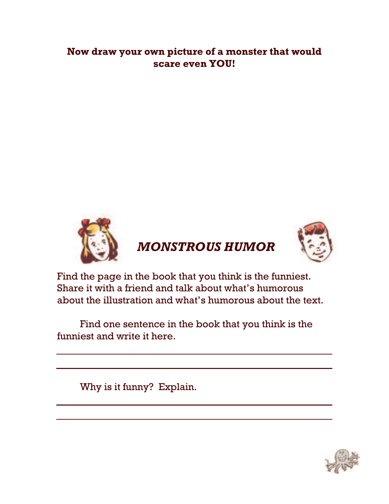### Now draw your own picture of a monster that would scare even YOU!



Find the page in the book that you think is the funniest. Share it with a friend and talk about what's humorous about the illustration and what's humorous about the text.

Find one sentence in the book that you think is the funniest and write it here.

Why is it funny? Explain.

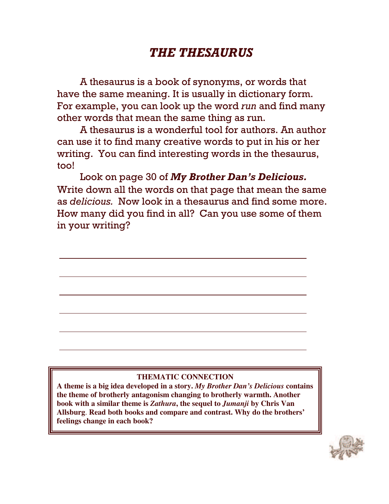# **THE THESAURUS**

A thesaurus is a book of synonyms, or words that have the same meaning. It is usually in dictionary form. For example, you can look up the word  $run$  and find many other words that mean the same thing as run.

A thesaurus is a wonderful tool for authors. An author can use it to find many creative words to put in his or her writing. You can find interesting words in the thesaurus, too!

Look on page 30 of My Brother Dan's Delicious. Write down all the words on that page that mean the same as *delicious*. Now look in a thesaurus and find some more. How many did you find in all? Can you use some of them in your writing?

#### **THEMATIC CONNECTION**

**A theme is a big idea developed in a story.** *My Brother Dan's Delicious* **contains the theme of brotherly antagonism changing to brotherly warmth. Another book with a similar theme is** *Zathura***, the sequel to** *Jumanji* **by Chris Van Allsburg**. **Read both books and compare and contrast. Why do the brothers' feelings change in each book?**

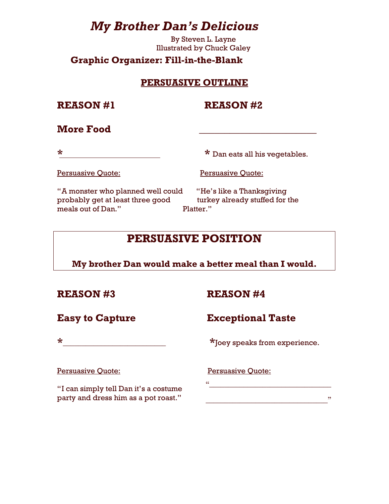# **My Brother Dan's Delicious**

By Steven L. Layne **Illustrated by Chuck Galey** 

#### **Graphic Organizer: Fill-in-the-Blank**

#### **PERSUASIVE OUTLINE**

**REASON#1** 

**REASON #2** 

#### **More Food**

 $\star$ 

\* Dan eats all his vegetables.

Persuasive Quote:

**Persuasive Quote:** 

"A monster who planned well could probably get at least three good meals out of Dan."

"He's like a Thanksgiving turkey already stuffed for the Platter."

# **PERSUASIVE POSITION**

My brother Dan would make a better meal than I would.

#### **REASON#3**

**REASON #4** 

**Easy to Capture** 

## **Exceptional Taste**

\*Joey speaks from experience.

**Persuasive Quote:** 

"I can simply tell Dan it's a costume party and dress him as a pot roast."

 $\star$ 

**Persuasive Quote:** 

<u>a</u> <u>d</u>e en la provincia de la provincia de la provincia de la provincia de la provincia de la provincia de la provincia de la provincia de la provincia de la provincia de la provincia de la provincia de la provincia de la

 $\overline{\phantom{a}}$  , and the contract of the contract of the contract of  $\overline{\phantom{a}}$  ,  $\overline{\phantom{a}}$  ,  $\overline{\phantom{a}}$  ,  $\overline{\phantom{a}}$  ,  $\overline{\phantom{a}}$  ,  $\overline{\phantom{a}}$  ,  $\overline{\phantom{a}}$  ,  $\overline{\phantom{a}}$  ,  $\overline{\phantom{a}}$  ,  $\overline{\phantom{a}}$  ,  $\overline{\phantom{a}}$  ,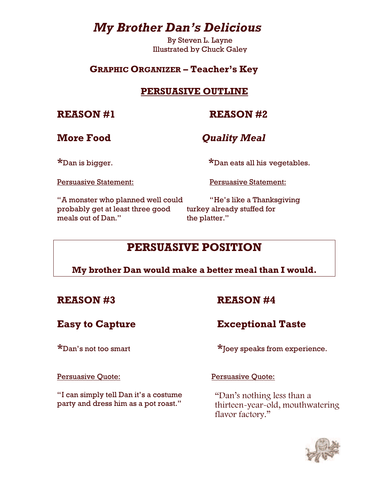# **My Brother Dan's Delicious**

By Steven L. Layne **Illustrated by Chuck Galey** 

#### **GRAPHIC ORGANIZER - Teacher's Key**

#### **PERSUASIVE OUTLINE**

#### **REASON #1**

### **REASON #2**

#### **More Food**

#### **Quality Meal**

\*Dan is bigger.

\*Dan eats all his vegetables.

**Persuasive Statement:** 

**Persuasive Statement:** 

"A monster who planned well could probably get at least three good meals out of Dan."

"He's like a Thanksgiving turkey already stuffed for the platter."

## **PERSUASIVE POSITION**

#### My brother Dan would make a better meal than I would.

#### **REASON #3**

## **REASON #4**

## **Easy to Capture**

#### $*$ Dan's not too smart

#### \*Joey speaks from experience.

**Exceptional Taste** 

#### **Persuasive Quote:**

"I can simply tell Dan it's a costume party and dress him as a pot roast."

**Persuasive Quote:** 

"Dan's nothing less than a thirteen-year-old, mouthwatering flavor factory."